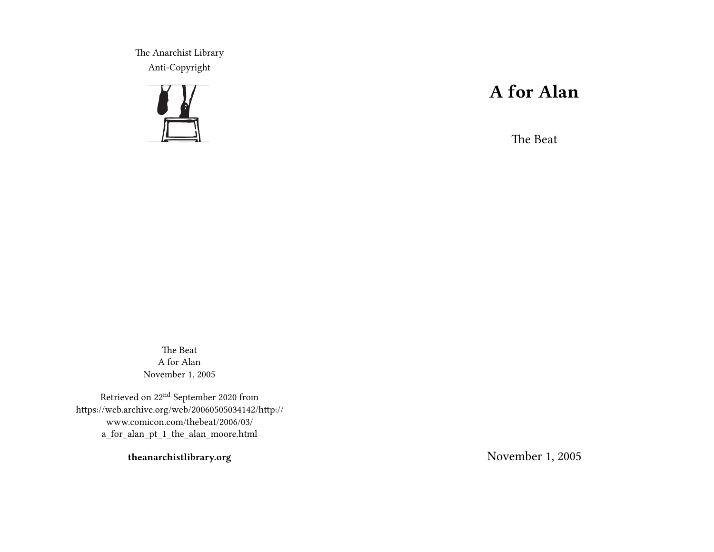The Anarchist Library Anti-Copyright



# **A for Alan**

The Beat

The Beat A for Alan November 1, 2005

Retrieved on 22nd September 2020 from https://web.archive.org/web/20060505034142/http:// www.comicon.com/thebeat/2006/03/ a\_for\_alan\_pt\_1\_the\_alan\_moore.html

**theanarchistlibrary.org**

November 1, 2005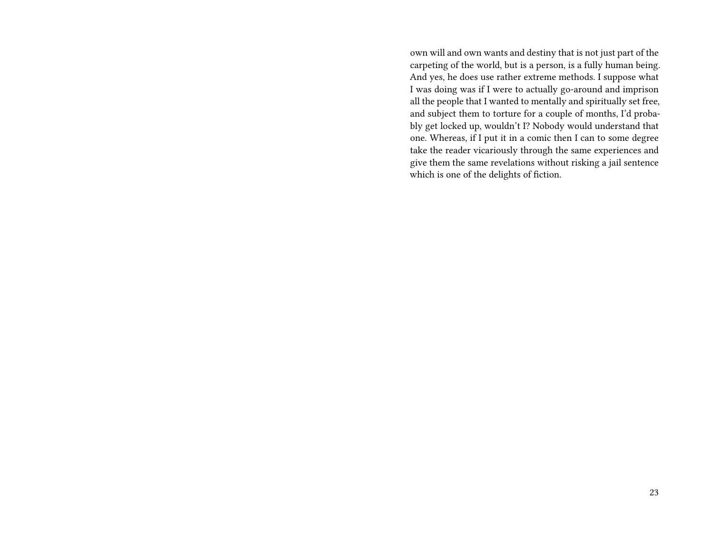own will and own wants and destiny that is not just part of the carpeting of the world, but is a person, is a fully human being. And yes, he does use rather extreme methods. I suppose what I was doing was if I were to actually go-around and imprison all the people that I wanted to mentally and spiritually set free, and subject them to torture for a couple of months, I'd probably get locked up, wouldn't I? Nobody would understand that one. Whereas, if I put it in a comic then I can to some degree take the reader vicariously through the same experiences and give them the same revelations without risking a jail sentence which is one of the delights of fiction.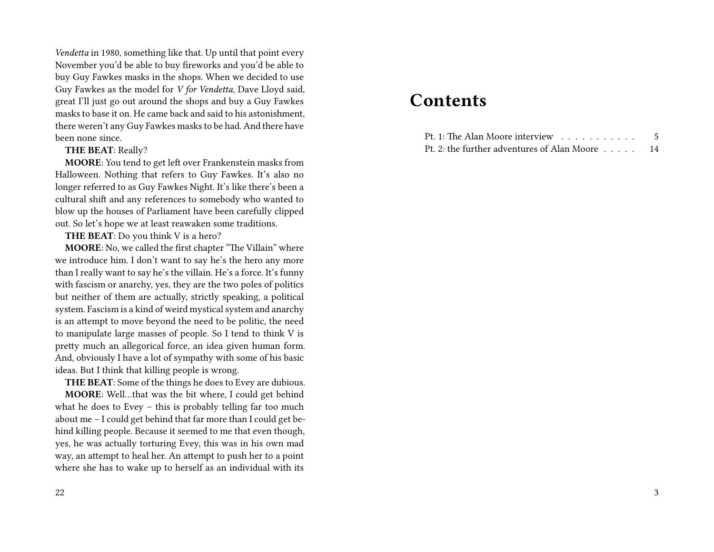*Vendetta* in 1980, something like that. Up until that point every November you'd be able to buy fireworks and you'd be able to buy Guy Fawkes masks in the shops. When we decided to use Guy Fawkes as the model for *V for Vendetta*, Dave Lloyd said, great I'll just go out around the shops and buy a Guy Fawkes masks to base it on. He came back and said to his astonishment, there weren't any Guy Fawkes masks to be had. And there have been none since.

#### **THE BEAT**: Really?

**MOORE**: You tend to get left over Frankenstein masks from Halloween. Nothing that refers to Guy Fawkes. It's also no longer referred to as Guy Fawkes Night. It's like there's been a cultural shift and any references to somebody who wanted to blow up the houses of Parliament have been carefully clipped out. So let's hope we at least reawaken some traditions.

**THE BEAT**: Do you think V is a hero?

**MOORE**: No, we called the first chapter "The Villain" where we introduce him. I don't want to say he's the hero any more than I really want to say he's the villain. He's a force. It's funny with fascism or anarchy, yes, they are the two poles of politics but neither of them are actually, strictly speaking, a political system. Fascism is a kind of weird mystical system and anarchy is an attempt to move beyond the need to be politic, the need to manipulate large masses of people. So I tend to think V is pretty much an allegorical force, an idea given human form. And, obviously I have a lot of sympathy with some of his basic ideas. But I think that killing people is wrong.

**THE BEAT**: Some of the things he does to Evey are dubious.

**MOORE**: Well…that was the bit where, I could get behind what he does to Evey – this is probably telling far too much about me – I could get behind that far more than I could get behind killing people. Because it seemed to me that even though, yes, he was actually torturing Evey, this was in his own mad way, an attempt to heal her. An attempt to push her to a point where she has to wake up to herself as an individual with its

## **Contents**

| Pt. 1: The Alan Moore interview $\ldots$    |    |
|---------------------------------------------|----|
| Pt. 2: the further adventures of Alan Moore | 14 |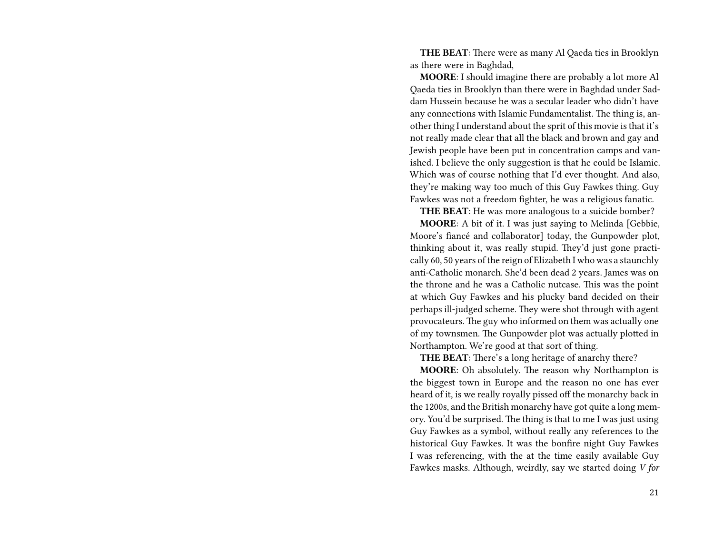**THE BEAT**: There were as many Al Qaeda ties in Brooklyn as there were in Baghdad,

**MOORE**: I should imagine there are probably a lot more Al Qaeda ties in Brooklyn than there were in Baghdad under Saddam Hussein because he was a secular leader who didn't have any connections with Islamic Fundamentalist. The thing is, another thing I understand about the sprit of this movie is that it's not really made clear that all the black and brown and gay and Jewish people have been put in concentration camps and vanished. I believe the only suggestion is that he could be Islamic. Which was of course nothing that I'd ever thought. And also, they're making way too much of this Guy Fawkes thing. Guy Fawkes was not a freedom fighter, he was a religious fanatic.

**THE BEAT**: He was more analogous to a suicide bomber?

**MOORE**: A bit of it. I was just saying to Melinda [Gebbie, Moore's fiancé and collaborator] today, the Gunpowder plot, thinking about it, was really stupid. They'd just gone practically 60, 50 years of the reign of Elizabeth I who was a staunchly anti-Catholic monarch. She'd been dead 2 years. James was on the throne and he was a Catholic nutcase. This was the point at which Guy Fawkes and his plucky band decided on their perhaps ill-judged scheme. They were shot through with agent provocateurs. The guy who informed on them was actually one of my townsmen. The Gunpowder plot was actually plotted in Northampton. We're good at that sort of thing.

**THE BEAT**: There's a long heritage of anarchy there?

**MOORE**: Oh absolutely. The reason why Northampton is the biggest town in Europe and the reason no one has ever heard of it, is we really royally pissed off the monarchy back in the 1200s, and the British monarchy have got quite a long memory. You'd be surprised. The thing is that to me I was just using Guy Fawkes as a symbol, without really any references to the historical Guy Fawkes. It was the bonfire night Guy Fawkes I was referencing, with the at the time easily available Guy Fawkes masks. Although, weirdly, say we started doing *V for*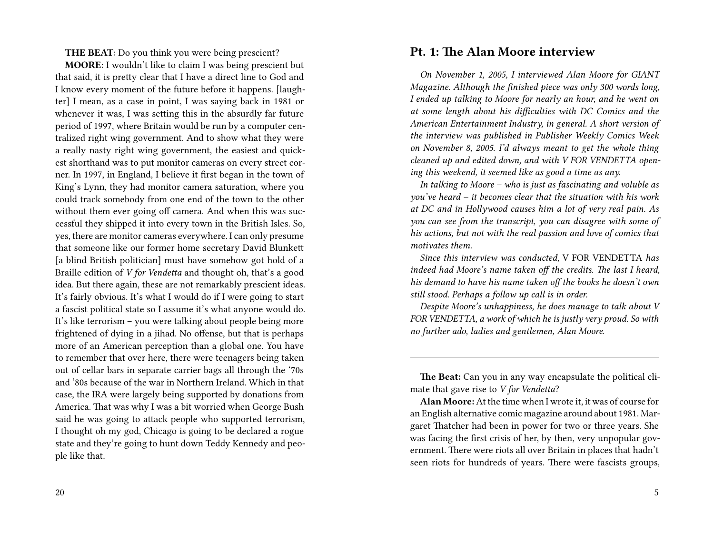**THE BEAT**: Do you think you were being prescient?

**MOORE**: I wouldn't like to claim I was being prescient but that said, it is pretty clear that I have a direct line to God and I know every moment of the future before it happens. [laughter] I mean, as a case in point, I was saying back in 1981 or whenever it was, I was setting this in the absurdly far future period of 1997, where Britain would be run by a computer centralized right wing government. And to show what they were a really nasty right wing government, the easiest and quickest shorthand was to put monitor cameras on every street corner. In 1997, in England, I believe it first began in the town of King's Lynn, they had monitor camera saturation, where you could track somebody from one end of the town to the other without them ever going off camera. And when this was successful they shipped it into every town in the British Isles. So, yes, there are monitor cameras everywhere. I can only presume that someone like our former home secretary David Blunkett [a blind British politician] must have somehow got hold of a Braille edition of *V for Vendetta* and thought oh, that's a good idea. But there again, these are not remarkably prescient ideas. It's fairly obvious. It's what I would do if I were going to start a fascist political state so I assume it's what anyone would do. It's like terrorism – you were talking about people being more frightened of dying in a jihad. No offense, but that is perhaps more of an American perception than a global one. You have to remember that over here, there were teenagers being taken out of cellar bars in separate carrier bags all through the '70s and '80s because of the war in Northern Ireland. Which in that case, the IRA were largely being supported by donations from America. That was why I was a bit worried when George Bush said he was going to attack people who supported terrorism, I thought oh my god, Chicago is going to be declared a rogue state and they're going to hunt down Teddy Kennedy and people like that.

#### **Pt. 1: The Alan Moore interview**

*On November 1, 2005, I interviewed Alan Moore for GIANT Magazine. Although the finished piece was only 300 words long, I ended up talking to Moore for nearly an hour, and he went on at some length about his difficulties with DC Comics and the American Entertainment Industry, in general. A short version of the interview was published in Publisher Weekly Comics Week on November 8, 2005. I'd always meant to get the whole thing cleaned up and edited down, and with V FOR VENDETTA opening this weekend, it seemed like as good a time as any.*

*In talking to Moore – who is just as fascinating and voluble as you've heard – it becomes clear that the situation with his work at DC and in Hollywood causes him a lot of very real pain. As you can see from the transcript, you can disagree with some of his actions, but not with the real passion and love of comics that motivates them.*

*Since this interview was conducted,* V FOR VENDETTA *has indeed had Moore's name taken off the credits. The last I heard, his demand to have his name taken off the books he doesn't own still stood. Perhaps a follow up call is in order.*

*Despite Moore's unhappiness, he does manage to talk about V FOR VENDETTA, a work of which he is justly very proud. So with no further ado, ladies and gentlemen, Alan Moore.*

**The Beat:** Can you in any way encapsulate the political climate that gave rise to *V for Vendetta*?

**Alan Moore:**At the time when I wrote it, it was of course for an English alternative comic magazine around about 1981. Margaret Thatcher had been in power for two or three years. She was facing the first crisis of her, by then, very unpopular government. There were riots all over Britain in places that hadn't seen riots for hundreds of years. There were fascists groups,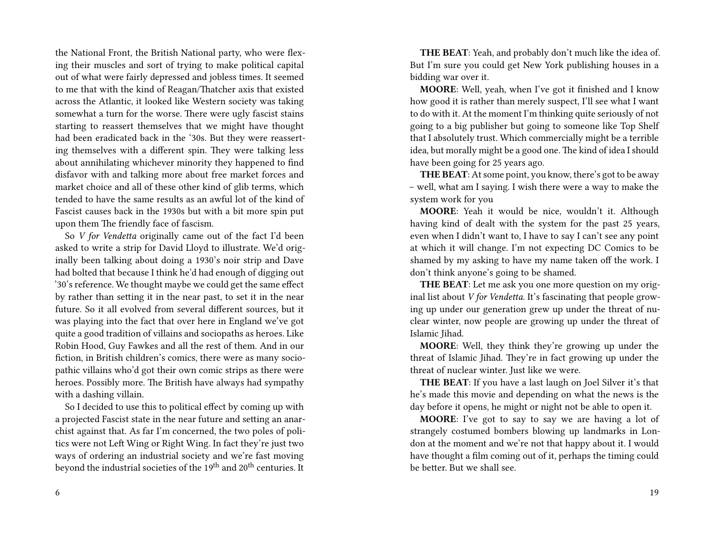the National Front, the British National party, who were flexing their muscles and sort of trying to make political capital out of what were fairly depressed and jobless times. It seemed to me that with the kind of Reagan/Thatcher axis that existed across the Atlantic, it looked like Western society was taking somewhat a turn for the worse. There were ugly fascist stains starting to reassert themselves that we might have thought had been eradicated back in the '30s. But they were reasserting themselves with a different spin. They were talking less about annihilating whichever minority they happened to find disfavor with and talking more about free market forces and market choice and all of these other kind of glib terms, which tended to have the same results as an awful lot of the kind of Fascist causes back in the 1930s but with a bit more spin put upon them The friendly face of fascism.

So *V for Vendetta* originally came out of the fact I'd been asked to write a strip for David Lloyd to illustrate. We'd originally been talking about doing a 1930's noir strip and Dave had bolted that because I think he'd had enough of digging out '30's reference. We thought maybe we could get the same effect by rather than setting it in the near past, to set it in the near future. So it all evolved from several different sources, but it was playing into the fact that over here in England we've got quite a good tradition of villains and sociopaths as heroes. Like Robin Hood, Guy Fawkes and all the rest of them. And in our fiction, in British children's comics, there were as many sociopathic villains who'd got their own comic strips as there were heroes. Possibly more. The British have always had sympathy with a dashing villain.

So I decided to use this to political effect by coming up with a projected Fascist state in the near future and setting an anarchist against that. As far I'm concerned, the two poles of politics were not Left Wing or Right Wing. In fact they're just two ways of ordering an industrial society and we're fast moving beyond the industrial societies of the 19<sup>th</sup> and 20<sup>th</sup> centuries. It

6

**THE BEAT**: Yeah, and probably don't much like the idea of. But I'm sure you could get New York publishing houses in a bidding war over it.

**MOORE**: Well, yeah, when I've got it finished and I know how good it is rather than merely suspect, I'll see what I want to do with it. At the moment I'm thinking quite seriously of not going to a big publisher but going to someone like Top Shelf that I absolutely trust. Which commercially might be a terrible idea, but morally might be a good one. The kind of idea I should have been going for 25 years ago.

**THE BEAT**: At some point, you know, there's got to be away – well, what am I saying. I wish there were a way to make the system work for you

**MOORE**: Yeah it would be nice, wouldn't it. Although having kind of dealt with the system for the past 25 years, even when I didn't want to, I have to say I can't see any point at which it will change. I'm not expecting DC Comics to be shamed by my asking to have my name taken off the work. I don't think anyone's going to be shamed.

**THE BEAT**: Let me ask you one more question on my original list about *V for Vendetta*. It's fascinating that people growing up under our generation grew up under the threat of nuclear winter, now people are growing up under the threat of Islamic Jihad.

**MOORE**: Well, they think they're growing up under the threat of Islamic Jihad. They're in fact growing up under the threat of nuclear winter. Just like we were.

**THE BEAT**: If you have a last laugh on Joel Silver it's that he's made this movie and depending on what the news is the day before it opens, he might or night not be able to open it.

**MOORE**: I've got to say to say we are having a lot of strangely costumed bombers blowing up landmarks in London at the moment and we're not that happy about it. I would have thought a film coming out of it, perhaps the timing could be better. But we shall see.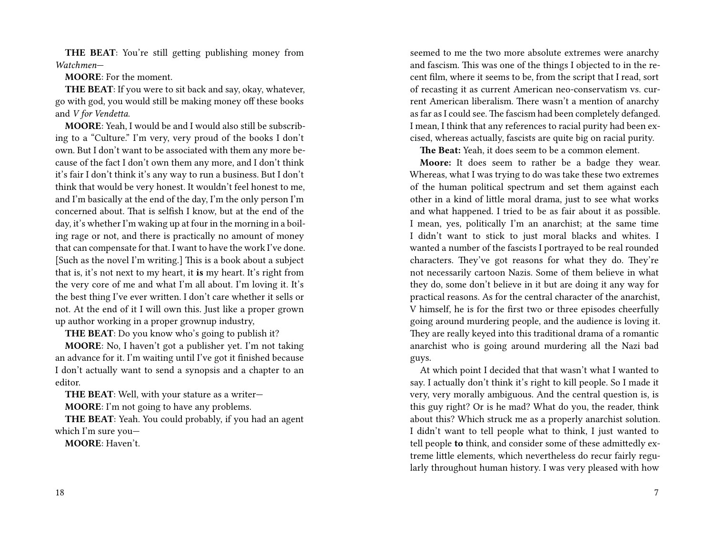**THE BEAT**: You're still getting publishing money from *Watchmen*—

**MOORE**: For the moment.

**THE BEAT**: If you were to sit back and say, okay, whatever, go with god, you would still be making money off these books and *V for Vendetta*.

**MOORE**: Yeah, I would be and I would also still be subscribing to a "Culture." I'm very, very proud of the books I don't own. But I don't want to be associated with them any more because of the fact I don't own them any more, and I don't think it's fair I don't think it's any way to run a business. But I don't think that would be very honest. It wouldn't feel honest to me, and I'm basically at the end of the day, I'm the only person I'm concerned about. That is selfish I know, but at the end of the day, it's whether I'm waking up at four in the morning in a boiling rage or not, and there is practically no amount of money that can compensate for that. I want to have the work I've done. [Such as the novel I'm writing.] This is a book about a subject that is, it's not next to my heart, it **is** my heart. It's right from the very core of me and what I'm all about. I'm loving it. It's the best thing I've ever written. I don't care whether it sells or not. At the end of it I will own this. Just like a proper grown up author working in a proper grownup industry,

**THE BEAT**: Do you know who's going to publish it?

**MOORE**: No, I haven't got a publisher yet. I'm not taking an advance for it. I'm waiting until I've got it finished because I don't actually want to send a synopsis and a chapter to an editor.

**THE BEAT**: Well, with your stature as a writer—

**MOORE**: I'm not going to have any problems.

**THE BEAT**: Yeah. You could probably, if you had an agent which I'm sure you—

**MOORE**: Haven't.

18

seemed to me the two more absolute extremes were anarchy and fascism. This was one of the things I objected to in the recent film, where it seems to be, from the script that I read, sort of recasting it as current American neo-conservatism vs. current American liberalism. There wasn't a mention of anarchy as far as I could see. The fascism had been completely defanged. I mean, I think that any references to racial purity had been excised, whereas actually, fascists are quite big on racial purity.

**The Beat:** Yeah, it does seem to be a common element.

**Moore:** It does seem to rather be a badge they wear. Whereas, what I was trying to do was take these two extremes of the human political spectrum and set them against each other in a kind of little moral drama, just to see what works and what happened. I tried to be as fair about it as possible. I mean, yes, politically I'm an anarchist; at the same time I didn't want to stick to just moral blacks and whites. I wanted a number of the fascists I portrayed to be real rounded characters. They've got reasons for what they do. They're not necessarily cartoon Nazis. Some of them believe in what they do, some don't believe in it but are doing it any way for practical reasons. As for the central character of the anarchist, V himself, he is for the first two or three episodes cheerfully going around murdering people, and the audience is loving it. They are really keyed into this traditional drama of a romantic anarchist who is going around murdering all the Nazi bad guys.

At which point I decided that that wasn't what I wanted to say. I actually don't think it's right to kill people. So I made it very, very morally ambiguous. And the central question is, is this guy right? Or is he mad? What do you, the reader, think about this? Which struck me as a properly anarchist solution. I didn't want to tell people what to think, I just wanted to tell people **to** think, and consider some of these admittedly extreme little elements, which nevertheless do recur fairly regularly throughout human history. I was very pleased with how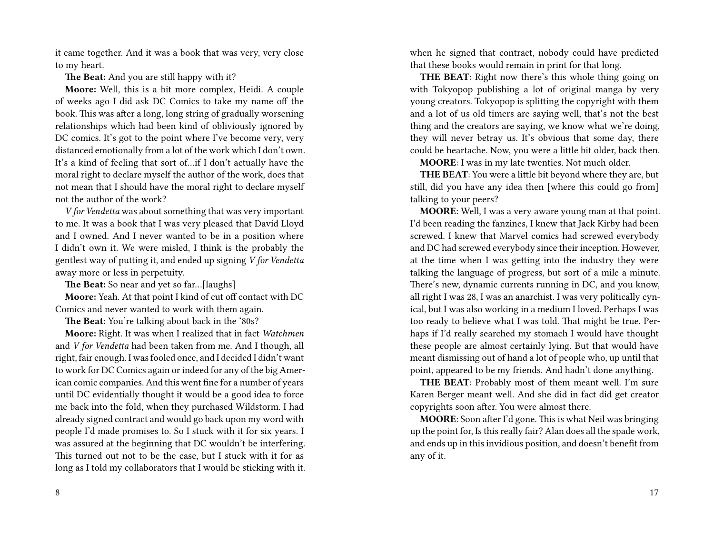it came together. And it was a book that was very, very close to my heart.

**The Beat:** And you are still happy with it?

**Moore:** Well, this is a bit more complex, Heidi. A couple of weeks ago I did ask DC Comics to take my name off the book. This was after a long, long string of gradually worsening relationships which had been kind of obliviously ignored by DC comics. It's got to the point where I've become very, very distanced emotionally from a lot of the work which I don't own. It's a kind of feeling that sort of…if I don't actually have the moral right to declare myself the author of the work, does that not mean that I should have the moral right to declare myself not the author of the work?

*V for Vendetta* was about something that was very important to me. It was a book that I was very pleased that David Lloyd and I owned. And I never wanted to be in a position where I didn't own it. We were misled, I think is the probably the gentlest way of putting it, and ended up signing *V for Vendetta* away more or less in perpetuity.

**The Beat:** So near and yet so far…[laughs]

**Moore:** Yeah. At that point I kind of cut off contact with DC Comics and never wanted to work with them again.

**The Beat:** You're talking about back in the '80s?

**Moore:** Right. It was when I realized that in fact *Watchmen* and *V for Vendetta* had been taken from me. And I though, all right, fair enough. I was fooled once, and I decided I didn't want to work for DC Comics again or indeed for any of the big American comic companies. And this went fine for a number of years until DC evidentially thought it would be a good idea to force me back into the fold, when they purchased Wildstorm. I had already signed contract and would go back upon my word with people I'd made promises to. So I stuck with it for six years. I was assured at the beginning that DC wouldn't be interfering. This turned out not to be the case, but I stuck with it for as long as I told my collaborators that I would be sticking with it. when he signed that contract, nobody could have predicted that these books would remain in print for that long.

**THE BEAT**: Right now there's this whole thing going on with Tokyopop publishing a lot of original manga by very young creators. Tokyopop is splitting the copyright with them and a lot of us old timers are saying well, that's not the best thing and the creators are saying, we know what we're doing, they will never betray us. It's obvious that some day, there could be heartache. Now, you were a little bit older, back then.

**MOORE**: I was in my late twenties. Not much older.

**THE BEAT**: You were a little bit beyond where they are, but still, did you have any idea then [where this could go from] talking to your peers?

**MOORE**: Well, I was a very aware young man at that point. I'd been reading the fanzines, I knew that Jack Kirby had been screwed. I knew that Marvel comics had screwed everybody and DC had screwed everybody since their inception. However, at the time when I was getting into the industry they were talking the language of progress, but sort of a mile a minute. There's new, dynamic currents running in DC, and you know, all right I was 28, I was an anarchist. I was very politically cynical, but I was also working in a medium I loved. Perhaps I was too ready to believe what I was told. That might be true. Perhaps if I'd really searched my stomach I would have thought these people are almost certainly lying. But that would have meant dismissing out of hand a lot of people who, up until that point, appeared to be my friends. And hadn't done anything.

**THE BEAT**: Probably most of them meant well. I'm sure Karen Berger meant well. And she did in fact did get creator copyrights soon after. You were almost there.

**MOORE**: Soon after I'd gone. This is what Neil was bringing up the point for, Is this really fair? Alan does all the spade work, and ends up in this invidious position, and doesn't benefit from any of it.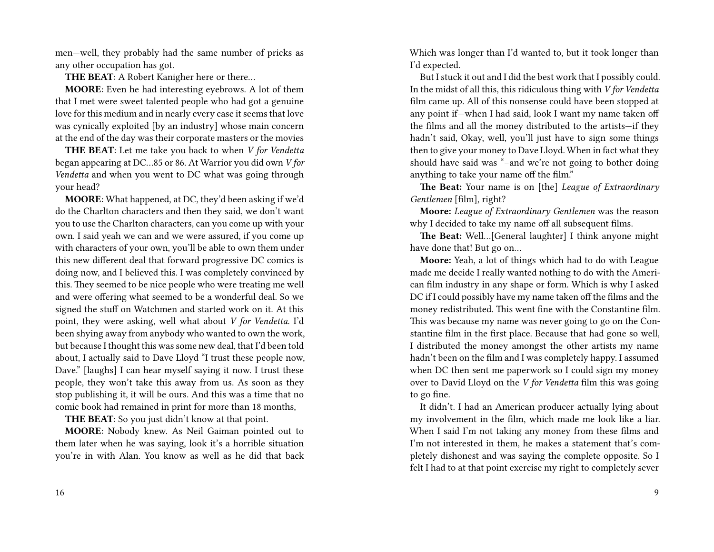men—well, they probably had the same number of pricks as any other occupation has got.

**THE BEAT**: A Robert Kanigher here or there…

**MOORE**: Even he had interesting eyebrows. A lot of them that I met were sweet talented people who had got a genuine love for this medium and in nearly every case it seems that love was cynically exploited [by an industry] whose main concern at the end of the day was their corporate masters or the movies

**THE BEAT**: Let me take you back to when *V for Vendetta* began appearing at DC…85 or 86. At Warrior you did own *V for Vendetta* and when you went to DC what was going through your head?

**MOORE**: What happened, at DC, they'd been asking if we'd do the Charlton characters and then they said, we don't want you to use the Charlton characters, can you come up with your own. I said yeah we can and we were assured, if you come up with characters of your own, you'll be able to own them under this new different deal that forward progressive DC comics is doing now, and I believed this. I was completely convinced by this. They seemed to be nice people who were treating me well and were offering what seemed to be a wonderful deal. So we signed the stuff on Watchmen and started work on it. At this point, they were asking, well what about *V for Vendetta*. I'd been shying away from anybody who wanted to own the work, but because I thought this was some new deal, that I'd been told about, I actually said to Dave Lloyd "I trust these people now, Dave." [laughs] I can hear myself saying it now. I trust these people, they won't take this away from us. As soon as they stop publishing it, it will be ours. And this was a time that no comic book had remained in print for more than 18 months,

**THE BEAT**: So you just didn't know at that point.

**MOORE**: Nobody knew. As Neil Gaiman pointed out to them later when he was saying, look it's a horrible situation you're in with Alan. You know as well as he did that back Which was longer than I'd wanted to, but it took longer than I'd expected.

But I stuck it out and I did the best work that I possibly could. In the midst of all this, this ridiculous thing with *V for Vendetta* film came up. All of this nonsense could have been stopped at any point if—when I had said, look I want my name taken off the films and all the money distributed to the artists—if they hadn't said, Okay, well, you'll just have to sign some things then to give your money to Dave Lloyd. When in fact what they should have said was "–and we're not going to bother doing anything to take your name off the film."

**The Beat:** Your name is on [the] *League of Extraordinary Gentlemen* [film], right?

**Moore:** *League of Extraordinary Gentlemen* was the reason why I decided to take my name off all subsequent films.

**The Beat:** Well…[General laughter] I think anyone might have done that! But go on…

**Moore:** Yeah, a lot of things which had to do with League made me decide I really wanted nothing to do with the American film industry in any shape or form. Which is why I asked DC if I could possibly have my name taken off the films and the money redistributed. This went fine with the Constantine film. This was because my name was never going to go on the Constantine film in the first place. Because that had gone so well, I distributed the money amongst the other artists my name hadn't been on the film and I was completely happy. I assumed when DC then sent me paperwork so I could sign my money over to David Lloyd on the *V for Vendetta* film this was going to go fine.

It didn't. I had an American producer actually lying about my involvement in the film, which made me look like a liar. When I said I'm not taking any money from these films and I'm not interested in them, he makes a statement that's completely dishonest and was saying the complete opposite. So I felt I had to at that point exercise my right to completely sever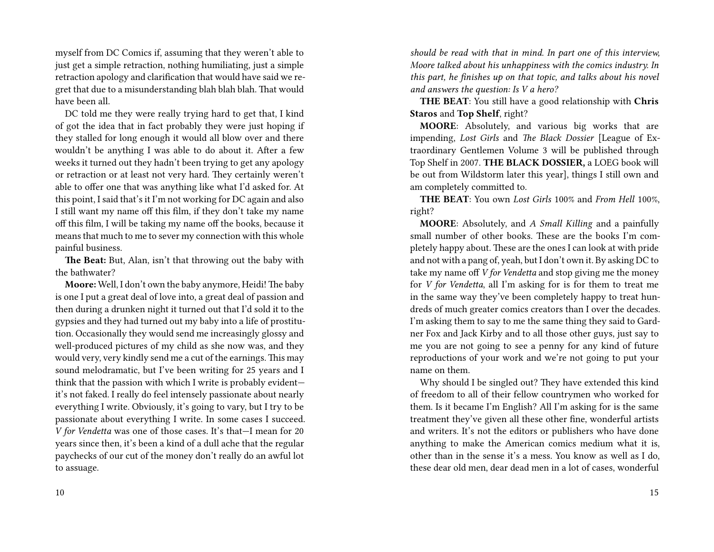myself from DC Comics if, assuming that they weren't able to just get a simple retraction, nothing humiliating, just a simple retraction apology and clarification that would have said we regret that due to a misunderstanding blah blah blah. That would have been all.

DC told me they were really trying hard to get that, I kind of got the idea that in fact probably they were just hoping if they stalled for long enough it would all blow over and there wouldn't be anything I was able to do about it. After a few weeks it turned out they hadn't been trying to get any apology or retraction or at least not very hard. They certainly weren't able to offer one that was anything like what I'd asked for. At this point, I said that's it I'm not working for DC again and also I still want my name off this film, if they don't take my name off this film, I will be taking my name off the books, because it means that much to me to sever my connection with this whole painful business.

**The Beat:** But, Alan, isn't that throwing out the baby with the bathwater?

**Moore:** Well, I don't own the baby anymore, Heidi! The baby is one I put a great deal of love into, a great deal of passion and then during a drunken night it turned out that I'd sold it to the gypsies and they had turned out my baby into a life of prostitution. Occasionally they would send me increasingly glossy and well-produced pictures of my child as she now was, and they would very, very kindly send me a cut of the earnings. This may sound melodramatic, but I've been writing for 25 years and I think that the passion with which I write is probably evident it's not faked. I really do feel intensely passionate about nearly everything I write. Obviously, it's going to vary, but I try to be passionate about everything I write. In some cases I succeed. *V for Vendetta* was one of those cases. It's that—I mean for 20 years since then, it's been a kind of a dull ache that the regular paychecks of our cut of the money don't really do an awful lot to assuage.

*should be read with that in mind. In part one of this interview, Moore talked about his unhappiness with the comics industry. In this part, he finishes up on that topic, and talks about his novel and answers the question: Is V a hero?*

**THE BEAT**: You still have a good relationship with **Chris Staros** and **Top Shelf**, right?

**MOORE**: Absolutely, and various big works that are impending, *Lost Girls* and *The Black Dossier* [League of Extraordinary Gentlemen Volume 3 will be published through Top Shelf in 2007. **THE BLACK DOSSIER,** a LOEG book will be out from Wildstorm later this year], things I still own and am completely committed to.

**THE BEAT**: You own *Lost Girls* 100% and *From Hell* 100%, right?

**MOORE**: Absolutely, and *A Small Killing* and a painfully small number of other books. These are the books I'm completely happy about. These are the ones I can look at with pride and not with a pang of, yeah, but I don't own it. By asking DC to take my name off *V for Vendetta* and stop giving me the money for *V for Vendetta*, all I'm asking for is for them to treat me in the same way they've been completely happy to treat hundreds of much greater comics creators than I over the decades. I'm asking them to say to me the same thing they said to Gardner Fox and Jack Kirby and to all those other guys, just say to me you are not going to see a penny for any kind of future reproductions of your work and we're not going to put your name on them.

Why should I be singled out? They have extended this kind of freedom to all of their fellow countrymen who worked for them. Is it became I'm English? All I'm asking for is the same treatment they've given all these other fine, wonderful artists and writers. It's not the editors or publishers who have done anything to make the American comics medium what it is, other than in the sense it's a mess. You know as well as I do, these dear old men, dear dead men in a lot of cases, wonderful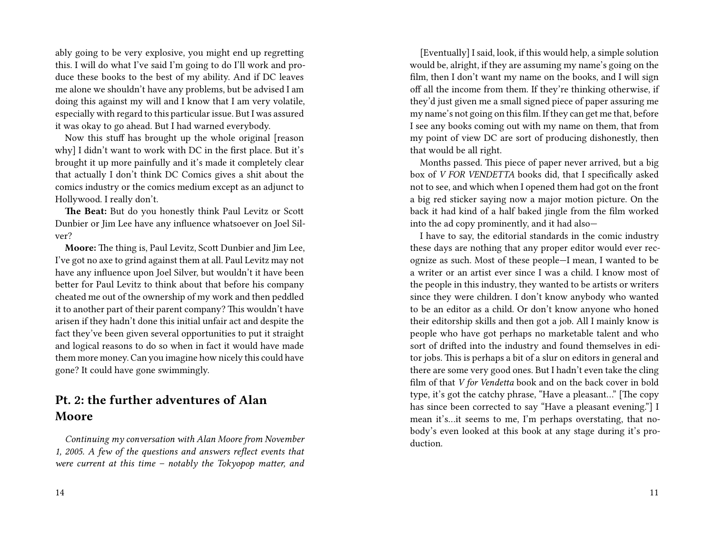ably going to be very explosive, you might end up regretting this. I will do what I've said I'm going to do I'll work and produce these books to the best of my ability. And if DC leaves me alone we shouldn't have any problems, but be advised I am doing this against my will and I know that I am very volatile, especially with regard to this particular issue. But I was assured it was okay to go ahead. But I had warned everybody.

Now this stuff has brought up the whole original [reason why] I didn't want to work with DC in the first place. But it's brought it up more painfully and it's made it completely clear that actually I don't think DC Comics gives a shit about the comics industry or the comics medium except as an adjunct to Hollywood. I really don't.

**The Beat:** But do you honestly think Paul Levitz or Scott Dunbier or Jim Lee have any influence whatsoever on Joel Silver?

**Moore:** The thing is, Paul Levitz, Scott Dunbier and Jim Lee, I've got no axe to grind against them at all. Paul Levitz may not have any influence upon Joel Silver, but wouldn't it have been better for Paul Levitz to think about that before his company cheated me out of the ownership of my work and then peddled it to another part of their parent company? This wouldn't have arisen if they hadn't done this initial unfair act and despite the fact they've been given several opportunities to put it straight and logical reasons to do so when in fact it would have made them more money. Can you imagine how nicely this could have gone? It could have gone swimmingly.

### **Pt. 2: the further adventures of Alan Moore**

*Continuing my conversation with Alan Moore from November 1, 2005. A few of the questions and answers reflect events that were current at this time – notably the Tokyopop matter, and*

[Eventually] I said, look, if this would help, a simple solution would be, alright, if they are assuming my name's going on the film, then I don't want my name on the books, and I will sign off all the income from them. If they're thinking otherwise, if they'd just given me a small signed piece of paper assuring me my name's not going on this film. If they can get me that, before I see any books coming out with my name on them, that from my point of view DC are sort of producing dishonestly, then that would be all right.

Months passed. This piece of paper never arrived, but a big box of *V FOR VENDETTA* books did, that I specifically asked not to see, and which when I opened them had got on the front a big red sticker saying now a major motion picture. On the back it had kind of a half baked jingle from the film worked into the ad copy prominently, and it had also—

I have to say, the editorial standards in the comic industry these days are nothing that any proper editor would ever recognize as such. Most of these people—I mean, I wanted to be a writer or an artist ever since I was a child. I know most of the people in this industry, they wanted to be artists or writers since they were children. I don't know anybody who wanted to be an editor as a child. Or don't know anyone who honed their editorship skills and then got a job. All I mainly know is people who have got perhaps no marketable talent and who sort of drifted into the industry and found themselves in editor jobs. This is perhaps a bit of a slur on editors in general and there are some very good ones. But I hadn't even take the cling film of that *V for Vendetta* book and on the back cover in bold type, it's got the catchy phrase, "Have a pleasant…" [The copy has since been corrected to say "Have a pleasant evening."] I mean it's…it seems to me, I'm perhaps overstating, that nobody's even looked at this book at any stage during it's production.